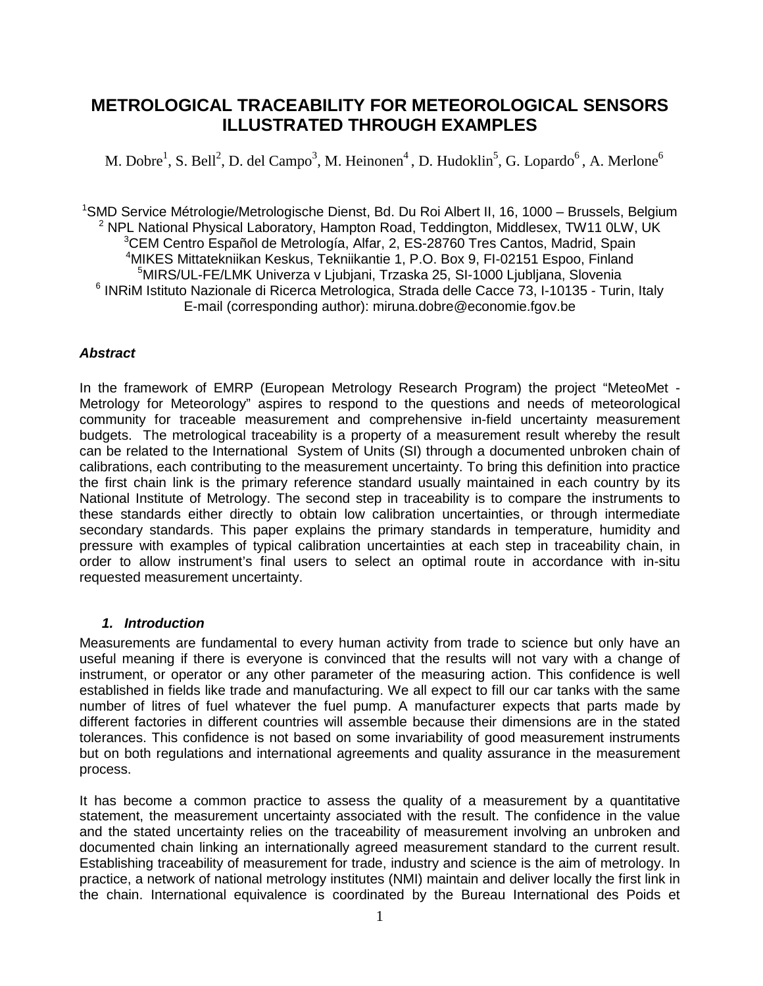# **METROLOGICAL TRACEABILITY FOR METEOROLOGICAL SENSORS ILLUSTRATED THROUGH EXAMPLES**

M. Dobre<sup>1</sup>, S. Bell<sup>2</sup>, D. del Campo<sup>3</sup>, M. Heinonen<sup>4</sup>, D. Hudoklin<sup>5</sup>, G. Lopardo<sup>6</sup>, A. Merlone<sup>6</sup>

<sup>1</sup>SMD Service Métrologie/Metrologische Dienst, Bd. Du Roi Albert II, 16, 1000 – Brussels, Belgium <sup>2</sup> NPL National Physical Laboratory, Hampton Road, Teddington, Middlesex, TW11 0LW, UK <sup>3</sup>CEM Centro Español de Metrología, Alfar, 2, ES-28760 Tres Cantos, Madrid, Spain <sup>4</sup>MIKES Mittatekniikan Keskus, Tekniikantie 1, P.O. Box 9, FI-02151 Espoo, Finland <sup>5</sup>MIRS/UL-FE/LMK Univerza v Ljubjani, Trzaska 25, SI-1000 Ljubljana, Slovenia <sup>6</sup> INRiM Istituto Nazionale di Ricerca Metrologica, Strada delle Cacce 73, I-10135 - Turin, Italy E-mail (corresponding author): miruna.dobre@economie.fgov.be

## **Abstract**

In the framework of EMRP (European Metrology Research Program) the project "MeteoMet - Metrology for Meteorology" aspires to respond to the questions and needs of meteorological community for traceable measurement and comprehensive in-field uncertainty measurement budgets. The metrological traceability is a property of a measurement result whereby the result can be related to the International System of Units (SI) through a documented unbroken chain of calibrations, each contributing to the measurement uncertainty. To bring this definition into practice the first chain link is the primary reference standard usually maintained in each country by its National Institute of Metrology. The second step in traceability is to compare the instruments to these standards either directly to obtain low calibration uncertainties, or through intermediate secondary standards. This paper explains the primary standards in temperature, humidity and pressure with examples of typical calibration uncertainties at each step in traceability chain, in order to allow instrument's final users to select an optimal route in accordance with in-situ requested measurement uncertainty.

#### **1. Introduction**

Measurements are fundamental to every human activity from trade to science but only have an useful meaning if there is everyone is convinced that the results will not vary with a change of instrument, or operator or any other parameter of the measuring action. This confidence is well established in fields like trade and manufacturing. We all expect to fill our car tanks with the same number of litres of fuel whatever the fuel pump. A manufacturer expects that parts made by different factories in different countries will assemble because their dimensions are in the stated tolerances. This confidence is not based on some invariability of good measurement instruments but on both regulations and international agreements and quality assurance in the measurement process.

It has become a common practice to assess the quality of a measurement by a quantitative statement, the measurement uncertainty associated with the result. The confidence in the value and the stated uncertainty relies on the traceability of measurement involving an unbroken and documented chain linking an internationally agreed measurement standard to the current result. Establishing traceability of measurement for trade, industry and science is the aim of metrology. In practice, a network of national metrology institutes (NMI) maintain and deliver locally the first link in the chain. International equivalence is coordinated by the Bureau International des Poids et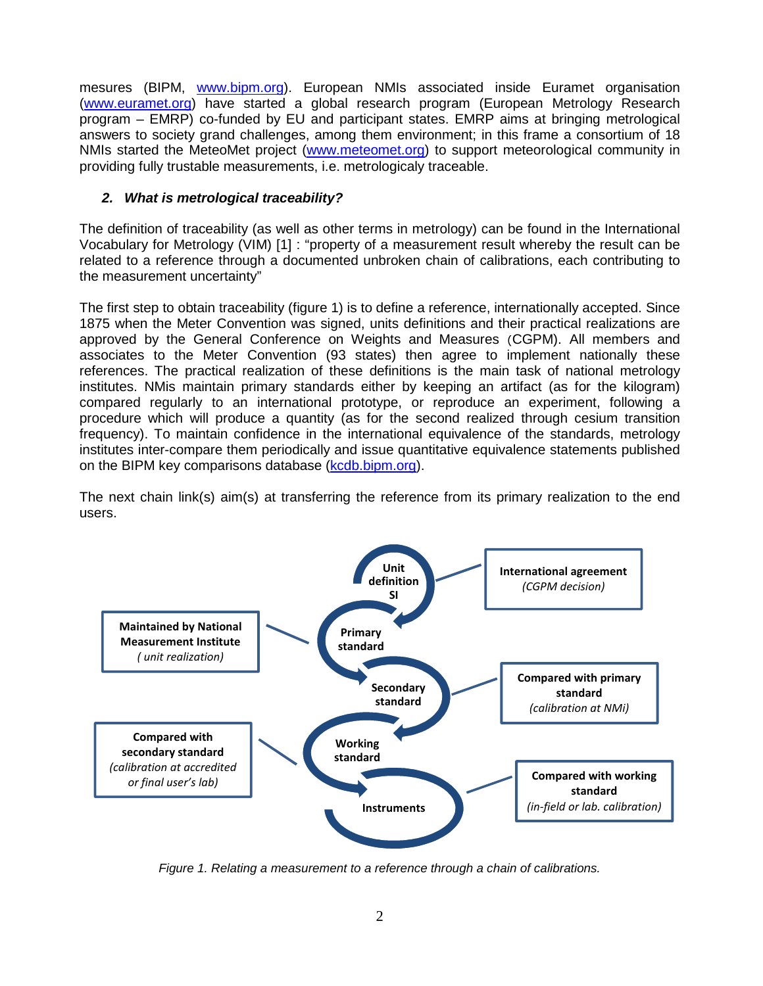mesures (BIPM, www.bipm.org). European NMIs associated inside Euramet organisation (www.euramet.org) have started a global research program (European Metrology Research program – EMRP) co-funded by EU and participant states. EMRP aims at bringing metrological answers to society grand challenges, among them environment; in this frame a consortium of 18 NMIs started the MeteoMet project (www.meteomet.org) to support meteorological community in providing fully trustable measurements, i.e. metrologicaly traceable.

# **2. What is metrological traceability?**

The definition of traceability (as well as other terms in metrology) can be found in the International Vocabulary for Metrology (VIM) [1] : "property of a measurement result whereby the result can be related to a reference through a documented unbroken chain of calibrations, each contributing to the measurement uncertainty"

The first step to obtain traceability (figure 1) is to define a reference, internationally accepted. Since 1875 when the Meter Convention was signed, units definitions and their practical realizations are approved by the General Conference on Weights and Measures (CGPM). All members and associates to the Meter Convention (93 states) then agree to implement nationally these references. The practical realization of these definitions is the main task of national metrology institutes. NMis maintain primary standards either by keeping an artifact (as for the kilogram) compared regularly to an international prototype, or reproduce an experiment, following a procedure which will produce a quantity (as for the second realized through cesium transition frequency). To maintain confidence in the international equivalence of the standards, metrology institutes inter-compare them periodically and issue quantitative equivalence statements published on the BIPM key comparisons database (kcdb.bipm.org).

The next chain link(s) aim(s) at transferring the reference from its primary realization to the end users.



Figure 1. Relating a measurement to a reference through a chain of calibrations.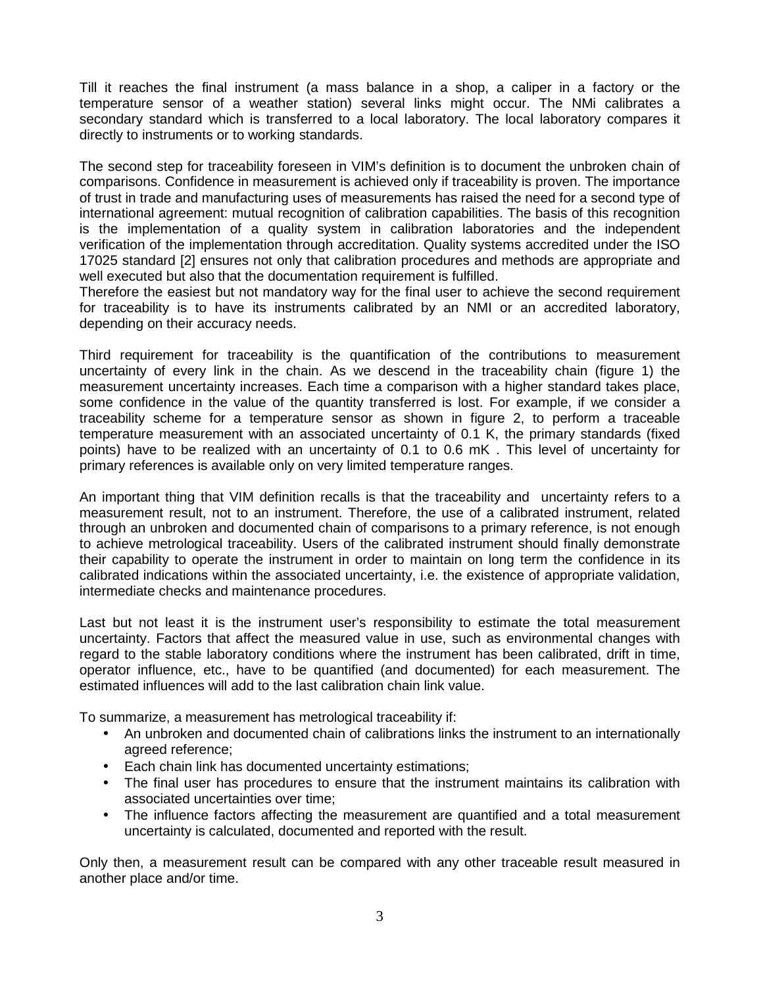Till it reaches the final instrument (a mass balance in a shop, a caliper in a factory or the temperature sensor of a weather station) several links might occur. The NMi calibrates a secondary standard which is transferred to a local laboratory. The local laboratory compares it directly to instruments or to working standards.

The second step for traceability foreseen in VIM's definition is to document the unbroken chain of comparisons. Confidence in measurement is achieved only if traceability is proven. The importance of trust in trade and manufacturing uses of measurements has raised the need for a second type of international agreement: mutual recognition of calibration capabilities. The basis of this recognition is the implementation of a quality system in calibration laboratories and the independent verification of the implementation through accreditation. Quality systems accredited under the ISO 17025 standard [2] ensures not only that calibration procedures and methods are appropriate and well executed but also that the documentation requirement is fulfilled.

Therefore the easiest but not mandatory way for the final user to achieve the second requirement for traceability is to have its instruments calibrated by an NMI or an accredited laboratory, depending on their accuracy needs.

Third requirement for traceability is the quantification of the contributions to measurement uncertainty of every link in the chain. As we descend in the traceability chain (figure 1) the measurement uncertainty increases. Each time a comparison with a higher standard takes place, some confidence in the value of the quantity transferred is lost. For example, if we consider a traceability scheme for a temperature sensor as shown in figure 2, to perform a traceable temperature measurement with an associated uncertainty of 0.1 K, the primary standards (fixed points) have to be realized with an uncertainty of 0.1 to 0.6 mK . This level of uncertainty for primary references is available only on very limited temperature ranges.

An important thing that VIM definition recalls is that the traceability and uncertainty refers to a measurement result, not to an instrument. Therefore, the use of a calibrated instrument, related through an unbroken and documented chain of comparisons to a primary reference, is not enough to achieve metrological traceability. Users of the calibrated instrument should finally demonstrate their capability to operate the instrument in order to maintain on long term the confidence in its calibrated indications within the associated uncertainty, i.e. the existence of appropriate validation, intermediate checks and maintenance procedures.

Last but not least it is the instrument user's responsibility to estimate the total measurement uncertainty. Factors that affect the measured value in use, such as environmental changes with regard to the stable laboratory conditions where the instrument has been calibrated, drift in time, operator influence, etc., have to be quantified (and documented) for each measurement. The estimated influences will add to the last calibration chain link value.

To summarize, a measurement has metrological traceability if:

- An unbroken and documented chain of calibrations links the instrument to an internationally agreed reference;
- Each chain link has documented uncertainty estimations;
- The final user has procedures to ensure that the instrument maintains its calibration with associated uncertainties over time;
- The influence factors affecting the measurement are quantified and a total measurement uncertainty is calculated, documented and reported with the result.

Only then, a measurement result can be compared with any other traceable result measured in another place and/or time.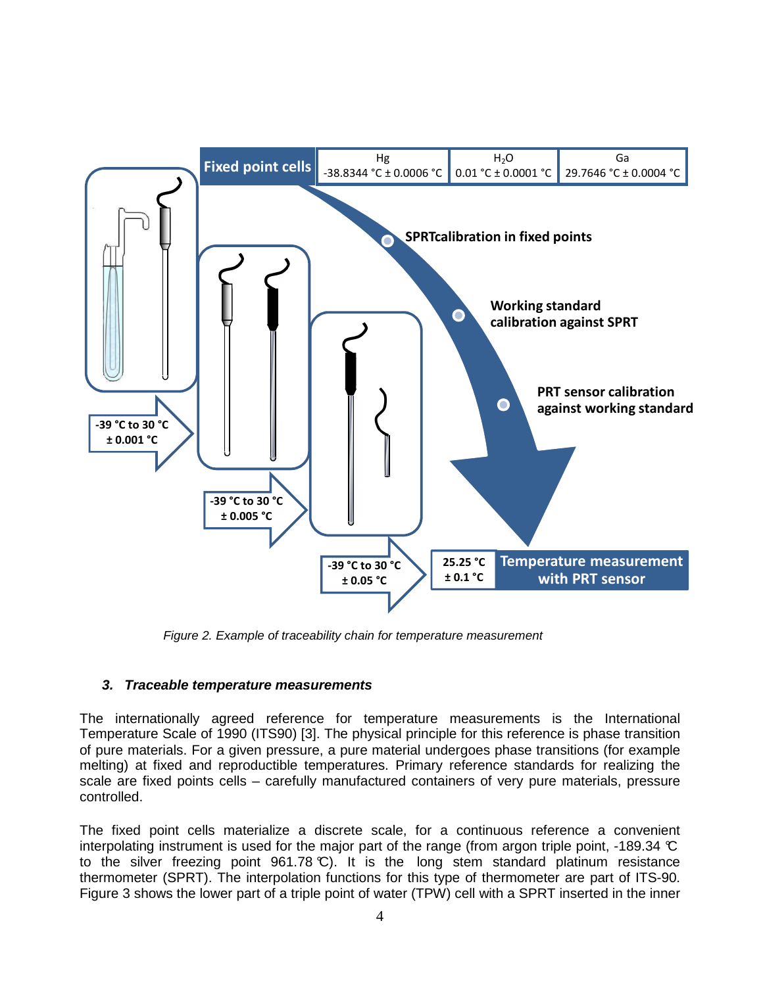

Figure 2. Example of traceability chain for temperature measurement

## **3. Traceable temperature measurements**

The internationally agreed reference for temperature measurements is the International Temperature Scale of 1990 (ITS90) [3]. The physical principle for this reference is phase transition of pure materials. For a given pressure, a pure material undergoes phase transitions (for example melting) at fixed and reproductible temperatures. Primary reference standards for realizing the scale are fixed points cells – carefully manufactured containers of very pure materials, pressure controlled.

The fixed point cells materialize a discrete scale, for a continuous reference a convenient interpolating instrument is used for the major part of the range (from argon triple point, -189.34 °C) to the silver freezing point  $961.78 \text{ C}$ ). It is the long stem standard platinum resistance thermometer (SPRT). The interpolation functions for this type of thermometer are part of ITS-90. Figure 3 shows the lower part of a triple point of water (TPW) cell with a SPRT inserted in the inner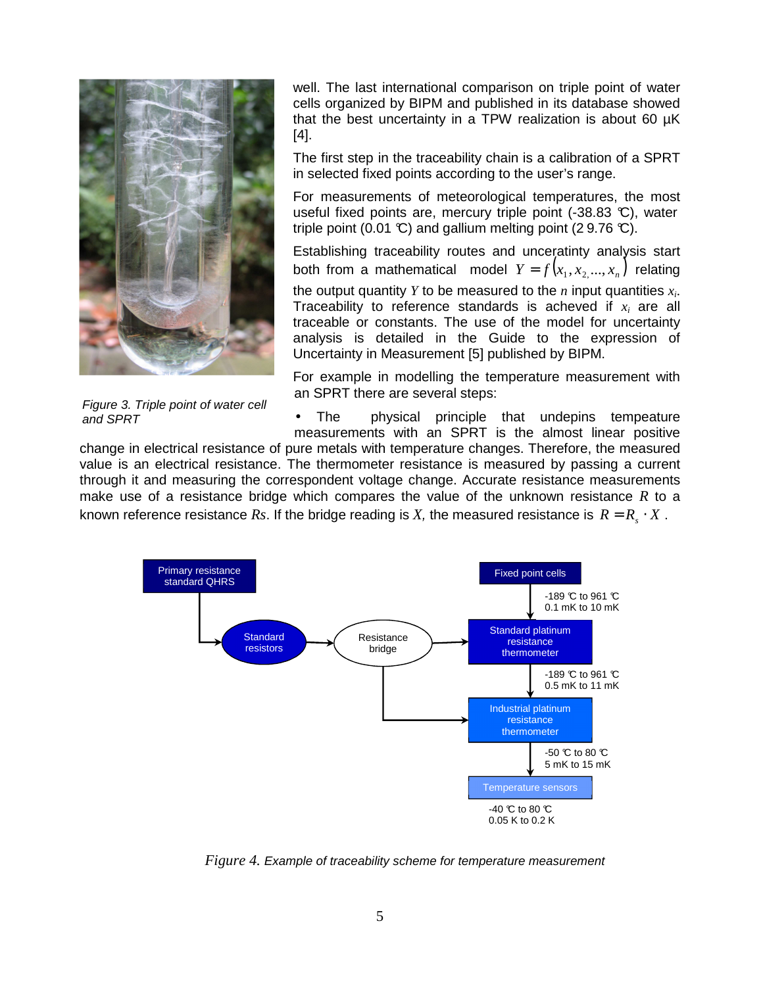

Figure 3. Triple point of water cell and SPRT

well. The last international comparison on triple point of water cells organized by BIPM and published in its database showed that the best uncertainty in a TPW realization is about 60 µK [4].

The first step in the traceability chain is a calibration of a SPRT in selected fixed points according to the user's range.

For measurements of meteorological temperatures, the most useful fixed points are, mercury triple point (-38.83 °C), water triple point (0.01 °C) and gallium melting point (29.76 °C).

Establishing traceability routes and unceratinty analysis start both from a mathematical model  $Y = f(x_1, x_2, ..., x_n)$  relating the output quantity *Y* to be measured to the *n* input quantities *x<sup>i</sup>* . Traceability to reference standards is acheved if *x<sup>i</sup>* are all traceable or constants. The use of the model for uncertainty analysis is detailed in the Guide to the expression of Uncertainty in Measurement [5] published by BIPM.

For example in modelling the temperature measurement with an SPRT there are several steps:

• The physical principle that undepins tempeature measurements with an SPRT is the almost linear positive

change in electrical resistance of pure metals with temperature changes. Therefore, the measured value is an electrical resistance. The thermometer resistance is measured by passing a current through it and measuring the correspondent voltage change. Accurate resistance measurements make use of a resistance bridge which compares the value of the unknown resistance *R* to a known reference resistance  $Rs$ . If the bridge reading is  $X$ , the measured resistance is  $R = R_{s} \cdot X$  .



*Figure 4.* Example of traceability scheme for temperature measurement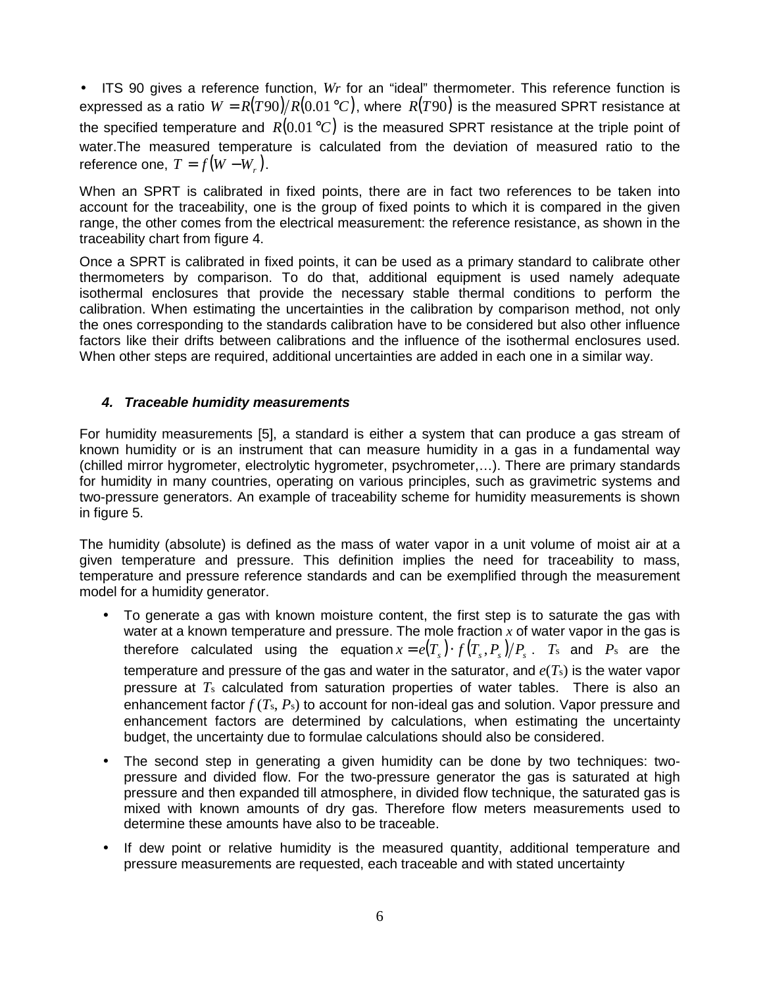• ITS 90 gives a reference function, *Wr* for an "ideal" thermometer. This reference function is expressed as a ratio  $W = R(T90)/R(0.01 \degree C)$ , where  $R(T90)$  is the measured SPRT resistance at the specified temperature and  $R(0.01 \degree C)$  is the measured SPRT resistance at the triple point of water.The measured temperature is calculated from the deviation of measured ratio to the reference one,  $T = f(W - W_r)$ .

When an SPRT is calibrated in fixed points, there are in fact two references to be taken into account for the traceability, one is the group of fixed points to which it is compared in the given range, the other comes from the electrical measurement: the reference resistance, as shown in the traceability chart from figure 4.

Once a SPRT is calibrated in fixed points, it can be used as a primary standard to calibrate other thermometers by comparison. To do that, additional equipment is used namely adequate isothermal enclosures that provide the necessary stable thermal conditions to perform the calibration. When estimating the uncertainties in the calibration by comparison method, not only the ones corresponding to the standards calibration have to be considered but also other influence factors like their drifts between calibrations and the influence of the isothermal enclosures used. When other steps are required, additional uncertainties are added in each one in a similar way.

## **4. Traceable humidity measurements**

For humidity measurements [5], a standard is either a system that can produce a gas stream of known humidity or is an instrument that can measure humidity in a gas in a fundamental way (chilled mirror hygrometer, electrolytic hygrometer, psychrometer,…). There are primary standards for humidity in many countries, operating on various principles, such as gravimetric systems and two-pressure generators. An example of traceability scheme for humidity measurements is shown in figure 5.

The humidity (absolute) is defined as the mass of water vapor in a unit volume of moist air at a given temperature and pressure. This definition implies the need for traceability to mass, temperature and pressure reference standards and can be exemplified through the measurement model for a humidity generator.

- To generate a gas with known moisture content, the first step is to saturate the gas with water at a known temperature and pressure. The mole fraction *x* of water vapor in the gas is therefore calculated using the equation $x = e(T_s) \cdot f(T_s, P_s)/P_s$ .  $T_s$  and  $P_s$  are the temperature and pressure of the gas and water in the saturator, and *e*(*T*s) is the water vapor pressure at *T*<sup>s</sup> calculated from saturation properties of water tables. There is also an enhancement factor *f* (*T*s, *P*s) to account for non-ideal gas and solution. Vapor pressure and enhancement factors are determined by calculations, when estimating the uncertainty budget, the uncertainty due to formulae calculations should also be considered.
- The second step in generating a given humidity can be done by two techniques: twopressure and divided flow. For the two-pressure generator the gas is saturated at high pressure and then expanded till atmosphere, in divided flow technique, the saturated gas is mixed with known amounts of dry gas. Therefore flow meters measurements used to determine these amounts have also to be traceable.
- If dew point or relative humidity is the measured quantity, additional temperature and pressure measurements are requested, each traceable and with stated uncertainty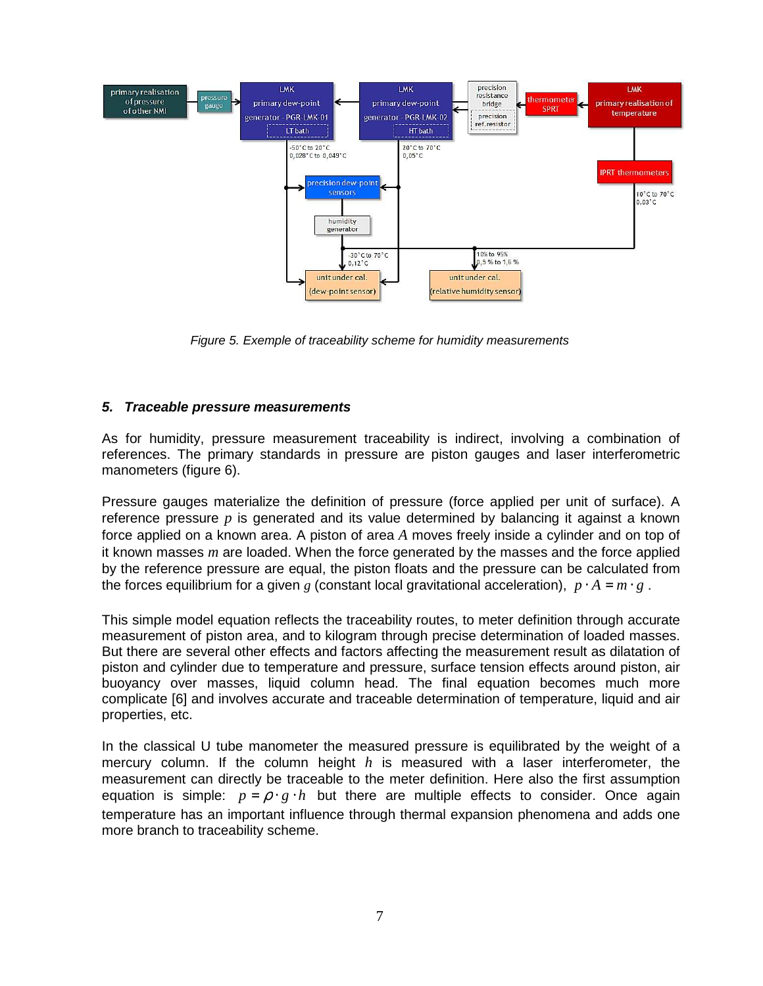

Figure 5. Exemple of traceability scheme for humidity measurements

#### **5. Traceable pressure measurements**

As for humidity, pressure measurement traceability is indirect, involving a combination of references. The primary standards in pressure are piston gauges and laser interferometric manometers (figure 6).

Pressure gauges materialize the definition of pressure (force applied per unit of surface). A reference pressure *p* is generated and its value determined by balancing it against a known force applied on a known area. A piston of area *A* moves freely inside a cylinder and on top of it known masses *m* are loaded. When the force generated by the masses and the force applied by the reference pressure are equal, the piston floats and the pressure can be calculated from the forces equilibrium for a given *g* (constant local gravitational acceleration),  $p \cdot A = m \cdot g$ .

This simple model equation reflects the traceability routes, to meter definition through accurate measurement of piston area, and to kilogram through precise determination of loaded masses. But there are several other effects and factors affecting the measurement result as dilatation of piston and cylinder due to temperature and pressure, surface tension effects around piston, air buoyancy over masses, liquid column head. The final equation becomes much more complicate [6] and involves accurate and traceable determination of temperature, liquid and air properties, etc.

In the classical U tube manometer the measured pressure is equilibrated by the weight of a mercury column. If the column height *h* is measured with a laser interferometer, the measurement can directly be traceable to the meter definition. Here also the first assumption equation is simple:  $p = \rho \cdot g \cdot h$  but there are multiple effects to consider. Once again temperature has an important influence through thermal expansion phenomena and adds one more branch to traceability scheme.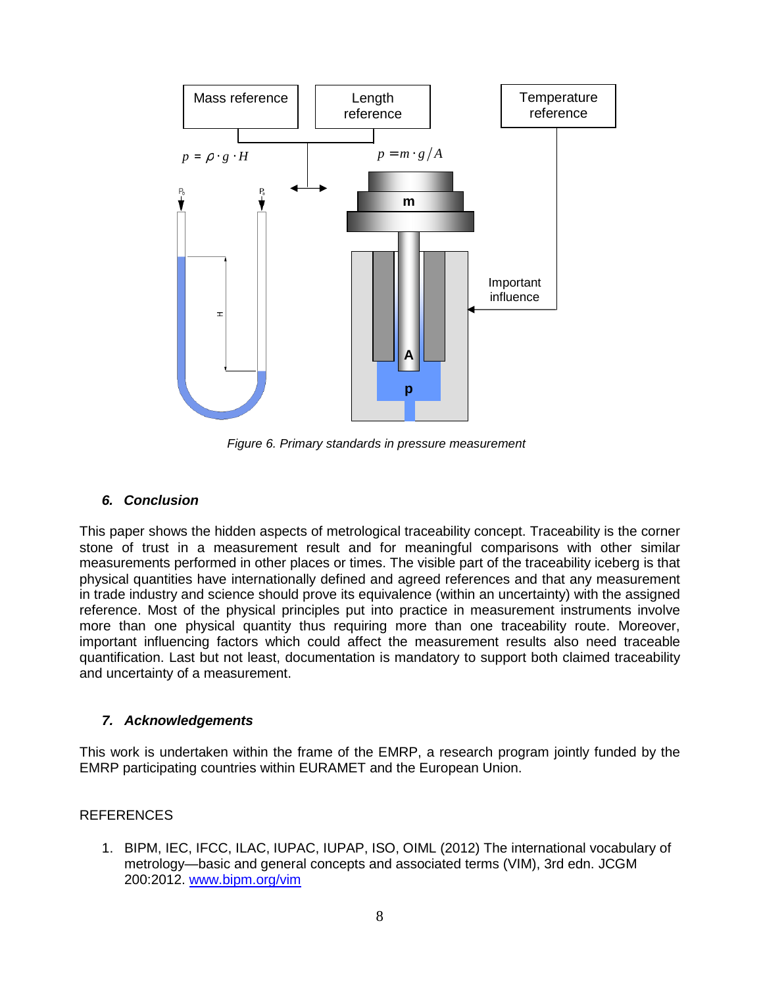

Figure 6. Primary standards in pressure measurement

## **6. Conclusion**

This paper shows the hidden aspects of metrological traceability concept. Traceability is the corner stone of trust in a measurement result and for meaningful comparisons with other similar measurements performed in other places or times. The visible part of the traceability iceberg is that physical quantities have internationally defined and agreed references and that any measurement in trade industry and science should prove its equivalence (within an uncertainty) with the assigned reference. Most of the physical principles put into practice in measurement instruments involve more than one physical quantity thus requiring more than one traceability route. Moreover, important influencing factors which could affect the measurement results also need traceable quantification. Last but not least, documentation is mandatory to support both claimed traceability and uncertainty of a measurement.

## **7. Acknowledgements**

This work is undertaken within the frame of the EMRP, a research program jointly funded by the EMRP participating countries within EURAMET and the European Union.

## REFERENCES

1. BIPM, IEC, IFCC, ILAC, IUPAC, IUPAP, ISO, OIML (2012) The international vocabulary of metrology—basic and general concepts and associated terms (VIM), 3rd edn. JCGM 200:2012. www.bipm.org/vim